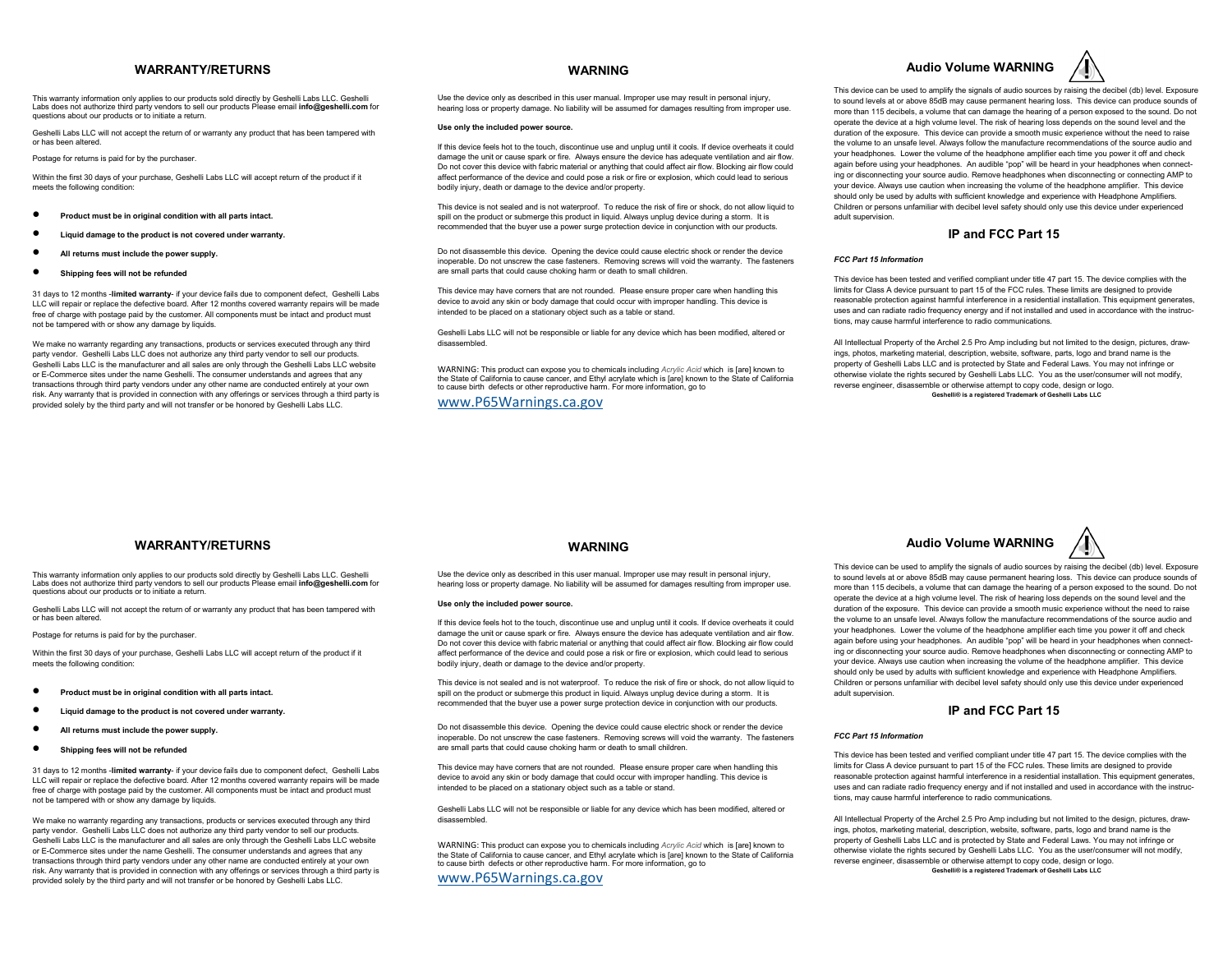This warranty information only applies to our products sold directly by Geshelli Labs LLC. Geshelli Labs does not authorize third party vendors to sell our products Please email **info@geshelli.com** for questions about our products or to initiate a return.

Geshelli Labs LLC will not accept the return of or warranty any product that has been tampered with or has been altered.

Postage for returns is paid for by the purchaser.

Within the first 30 days of your purchase, Geshelli Labs LLC will accept return of the product if it meets the following condition:

### • **Product must be in original condition with all parts intact.**

- **Liquid damage to the product is not covered under warranty.**
- **All returns must include the power supply.**
- **Shipping fees will not be refunded**

31 days to 12 months -**limited warranty**- if your device fails due to component defect, Geshelli Labs LLC will repair or replace the defective board. After 12 months covered warranty repairs will be made free of charge with postage paid by the customer. All components must be intact and product must not be tampered with or show any damage by liquids.

We make no warranty regarding any transactions, products or services executed through any third party vendor. Geshelli Labs LLC does not authorize any third party vendor to sell our products. Geshelli Labs LLC is the manufacturer and all sales are only through the Geshelli Labs LLC website or E-Commerce sites under the name Geshelli. The consumer understands and agrees that any transactions through third party vendors under any other name are conducted entirely at your own risk. Any warranty that is provided in connection with any offerings or services through a third party is provided solely by the third party and will not transfer or be honored by Geshelli Labs LLC.

Use the device only as described in this user manual. Improper use may result in personal injury, hearing loss or property damage. No liability will be assumed for damages resulting from improper use.

### **Use only the included power source.**

If this device feels hot to the touch, discontinue use and unplug until it cools. If device overheats it could damage the unit or cause spark or fire. Always ensure the device has adequate ventilation and air flow. Do not cover this device with fabric material or anything that could affect air flow. Blocking air flow could affect performance of the device and could pose a risk or fire or explosion, which could lead to serious bodily injury, death or damage to the device and/or property.

This device is not sealed and is not waterproof. To reduce the risk of fire or shock, do not allow liquid to spill on the product or submerge this product in liquid. Always unplug device during a storm. It is recommended that the buyer use a power surge protection device in conjunction with our products.

Do not disassemble this device. Opening the device could cause electric shock or render the device inoperable. Do not unscrew the case fasteners. Removing screws will void the warranty. The fasteners are small parts that could cause choking harm or death to small children.

This device may have corners that are not rounded. Please ensure proper care when handling this device to avoid any skin or body damage that could occur with improper handling. This device is intended to be placed on a stationary object such as a table or stand.

Geshelli Labs LLC will not be responsible or liable for any device which has been modified, altered or disassembled.

WARNING: This product can expose you to chemicals including *Acrylic Acid* which is [are] known to the State of California to cause cancer, and Ethyl acrylate which is [are] known to the State of California to cause birth defects or other reproductive harm. For more information, go to

[www.P65Warnings.ca.gov](http://www.p65warnings.ca.gov/)

# **WARRANTY/RETURNS WARNING Audio Volume WARNING**

This device can be used to amplify the signals of audio sources by raising the decibel (db) level. Exposure to sound levels at or above 85dB may cause permanent hearing loss. This device can produce sounds of more than 115 decibels, a volume that can damage the hearing of a person exposed to the sound. Do not operate the device at a high volume level. The risk of hearing loss depends on the sound level and the duration of the exposure. This device can provide a smooth music experience without the need to raise the volume to an unsafe level. Always follow the manufacture recommendations of the source audio and your headphones. Lower the volume of the headphone amplifier each time you power it off and check again before using your headphones. An audible "pop" will be heard in your headphones when connecting or disconnecting your source audio. Remove headphones when disconnecting or connecting AMP to your device. Always use caution when increasing the volume of the headphone amplifier. This device should only be used by adults with sufficient knowledge and experience with Headphone Amplifiers. Children or persons unfamiliar with decibel level safety should only use this device under experienced adult supervision.

## **IP and FCC Part 15**

### *FCC Part 15 Information*

This device has been tested and verified compliant under title 47 part 15. The device complies with the limits for Class A device pursuant to part 15 of the FCC rules. These limits are designed to provide reasonable protection against harmful interference in a residential installation. This equipment generates, uses and can radiate radio frequency energy and if not installed and used in accordance with the instructions, may cause harmful interference to radio communications.

All Intellectual Property of the Archel 2.5 Pro Amp including but not limited to the design, pictures, drawings, photos, marketing material, description, website, software, parts, logo and brand name is the property of Geshelli Labs LLC and is protected by State and Federal Laws. You may not infringe or otherwise violate the rights secured by Geshelli Labs LLC. You as the user/consumer will not modify, reverse engineer, disassemble or otherwise attempt to copy code, design or logo. **Geshelli® is a registered Trademark of Geshelli Labs LLC** 

This warranty information only applies to our products sold directly by Geshelli Labs LLC. Geshelli Labs does not authorize third party vendors to sell our products Please email **info@geshelli.com** for questions about our products or to initiate a return.

Geshelli Labs LLC will not accept the return of or warranty any product that has been tampered with or has been altered.

Postage for returns is paid for by the purchaser.

Within the first 30 days of your purchase, Geshelli Labs LLC will accept return of the product if it meets the following condition:

- **Product must be in original condition with all parts intact.**
- **Liquid damage to the product is not covered under warranty.**
- **All returns must include the power supply.**
- **Shipping fees will not be refunded**

31 days to 12 months -**limited warranty**- if your device fails due to component defect, Geshelli Labs LLC will repair or replace the defective board. After 12 months covered warranty repairs will be made free of charge with postage paid by the customer. All components must be intact and product must not be tampered with or show any damage by liquids.

We make no warranty regarding any transactions, products or services executed through any third party vendor. Geshelli Labs LLC does not authorize any third party vendor to sell our products. Geshelli Labs LLC is the manufacturer and all sales are only through the Geshelli Labs LLC website or E-Commerce sites under the name Geshelli. The consumer understands and agrees that any transactions through third party vendors under any other name are conducted entirely at your own risk. Any warranty that is provided in connection with any offerings or services through a third party is provided solely by the third party and will not transfer or be honored by Geshelli Labs LLC.

Use the device only as described in this user manual. Improper use may result in personal injury, hearing loss or property damage. No liability will be assumed for damages resulting from improper use.

### **Use only the included power source.**

If this device feels hot to the touch, discontinue use and unplug until it cools. If device overheats it could damage the unit or cause spark or fire. Always ensure the device has adequate ventilation and air flow. Do not cover this device with fabric material or anything that could affect air flow. Blocking air flow could affect performance of the device and could pose a risk or fire or explosion, which could lead to serious bodily injury, death or damage to the device and/or property.

This device is not sealed and is not waterproof. To reduce the risk of fire or shock, do not allow liquid to spill on the product or submerge this product in liquid. Always unplug device during a storm. It is recommended that the buyer use a power surge protection device in conjunction with our products.

Do not disassemble this device. Opening the device could cause electric shock or render the device inoperable. Do not unscrew the case fasteners. Removing screws will void the warranty. The fasteners are small parts that could cause choking harm or death to small children.

This device may have corners that are not rounded. Please ensure proper care when handling this device to avoid any skin or body damage that could occur with improper handling. This device is intended to be placed on a stationary object such as a table or stand.

Geshelli Labs LLC will not be responsible or liable for any device which has been modified, altered or disassembled.

WARNING: This product can expose you to chemicals including *Acrylic Acid* which is [are] known to the State of California to cause cancer, and Ethyl acrylate which is [are] known to the State of California to cause birth defects or other reproductive harm. For more information, go to

# [www.P65Warnings.ca.gov](http://www.p65warnings.ca.gov/)



This device can be used to amplify the signals of audio sources by raising the decibel (db) level. Exposure to sound levels at or above 85dB may cause permanent hearing loss. This device can produce sounds of more than 115 decibels, a volume that can damage the hearing of a person exposed to the sound. Do not operate the device at a high volume level. The risk of hearing loss depends on the sound level and the duration of the exposure. This device can provide a smooth music experience without the need to raise the volume to an unsafe level. Always follow the manufacture recommendations of the source audio and your headphones. Lower the volume of the headphone amplifier each time you power it off and check again before using your headphones. An audible "pop" will be heard in your headphones when connecting or disconnecting your source audio. Remove headphones when disconnecting or connecting AMP to your device. Always use caution when increasing the volume of the headphone amplifier. This device should only be used by adults with sufficient knowledge and experience with Headphone Amplifiers. Children or persons unfamiliar with decibel level safety should only use this device under experienced adult supervision.

# **IP and FCC Part 15**

### *FCC Part 15 Information*

This device has been tested and verified compliant under title 47 part 15. The device complies with the limits for Class A device pursuant to part 15 of the FCC rules. These limits are designed to provide reasonable protection against harmful interference in a residential installation. This equipment generates, uses and can radiate radio frequency energy and if not installed and used in accordance with the instructions, may cause harmful interference to radio communications.

All Intellectual Property of the Archel 2.5 Pro Amp including but not limited to the design, pictures, drawings, photos, marketing material, description, website, software, parts, logo and brand name is the property of Geshelli Labs LLC and is protected by State and Federal Laws. You may not infringe or otherwise violate the rights secured by Geshelli Labs LLC. You as the user/consumer will not modify, reverse engineer, disassemble or otherwise attempt to copy code, design or logo. **Geshelli® is a registered Trademark of Geshelli Labs LLC**